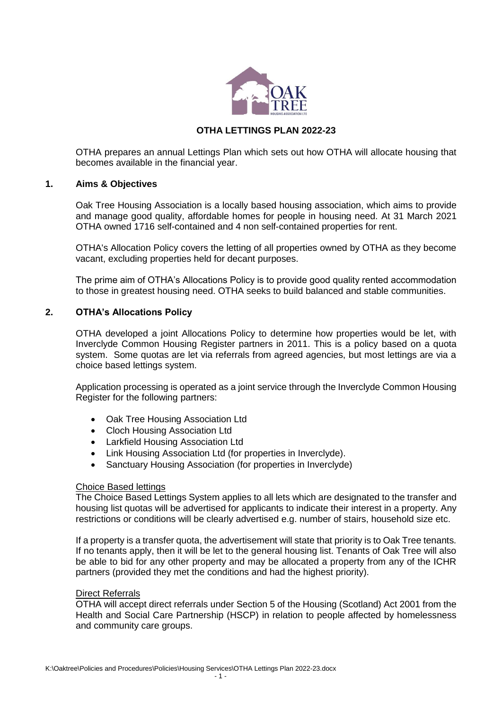

# **OTHA LETTINGS PLAN 2022-23**

OTHA prepares an annual Lettings Plan which sets out how OTHA will allocate housing that becomes available in the financial year.

## **1. Aims & Objectives**

Oak Tree Housing Association is a locally based housing association, which aims to provide and manage good quality, affordable homes for people in housing need*.* At 31 March 2021 OTHA owned 1716 self-contained and 4 non self-contained properties for rent.

OTHA's Allocation Policy covers the letting of all properties owned by OTHA as they become vacant, excluding properties held for decant purposes.

The prime aim of OTHA's Allocations Policy is to provide good quality rented accommodation to those in greatest housing need. OTHA seeks to build balanced and stable communities.

# **2. OTHA's Allocations Policy**

OTHA developed a joint Allocations Policy to determine how properties would be let, with Inverclyde Common Housing Register partners in 2011. This is a policy based on a quota system. Some quotas are let via referrals from agreed agencies, but most lettings are via a choice based lettings system.

Application processing is operated as a joint service through the Inverclyde Common Housing Register for the following partners:

- Oak Tree Housing Association Ltd
- Cloch Housing Association Ltd
- Larkfield Housing Association Ltd
- Link Housing Association Ltd (for properties in Inverclyde).
- Sanctuary Housing Association (for properties in Inverclyde)

# Choice Based lettings

The Choice Based Lettings System applies to all lets which are designated to the transfer and housing list quotas will be advertised for applicants to indicate their interest in a property. Any restrictions or conditions will be clearly advertised e.g. number of stairs, household size etc.

If a property is a transfer quota, the advertisement will state that priority is to Oak Tree tenants. If no tenants apply, then it will be let to the general housing list. Tenants of Oak Tree will also be able to bid for any other property and may be allocated a property from any of the ICHR partners (provided they met the conditions and had the highest priority).

#### Direct Referrals

OTHA will accept direct referrals under Section 5 of the Housing (Scotland) Act 2001 from the Health and Social Care Partnership (HSCP) in relation to people affected by homelessness and community care groups.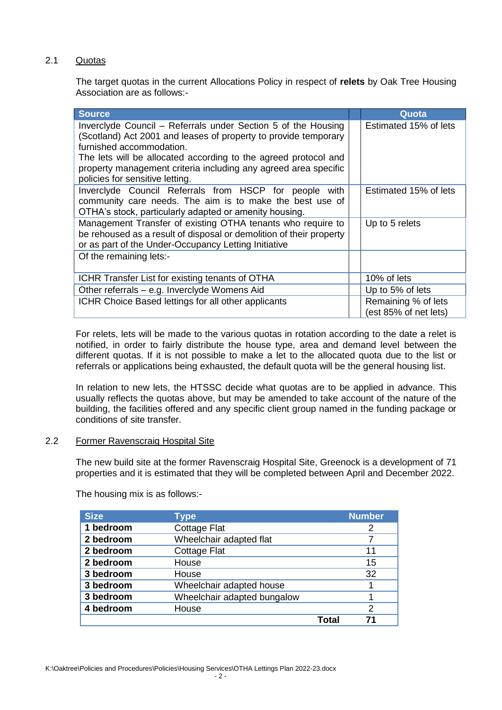# 2.1 Quotas

The target quotas in the current Allocations Policy in respect of **relets** by Oak Tree Housing Association are as follows:-

| <b>Source</b>                                                                                                                      |  | Quota                 |
|------------------------------------------------------------------------------------------------------------------------------------|--|-----------------------|
| Inverclyde Council - Referrals under Section 5 of the Housing                                                                      |  | Estimated 15% of lets |
| (Scotland) Act 2001 and leases of property to provide temporary                                                                    |  |                       |
| furnished accommodation.                                                                                                           |  |                       |
| The lets will be allocated according to the agreed protocol and<br>property management criteria including any agreed area specific |  |                       |
| policies for sensitive letting.                                                                                                    |  |                       |
| Inverclyde Council Referrals from HSCP for people with                                                                             |  | Estimated 15% of lets |
| community care needs. The aim is to make the best use of                                                                           |  |                       |
| OTHA's stock, particularly adapted or amenity housing.                                                                             |  |                       |
| Management Transfer of existing OTHA tenants who require to                                                                        |  | Up to 5 relets        |
| be rehoused as a result of disposal or demolition of their property                                                                |  |                       |
| or as part of the Under-Occupancy Letting Initiative                                                                               |  |                       |
| Of the remaining lets:-                                                                                                            |  |                       |
| ICHR Transfer List for existing tenants of OTHA                                                                                    |  | 10% of lets           |
| Other referrals - e.g. Inverclyde Womens Aid                                                                                       |  | Up to 5% of lets      |
| ICHR Choice Based lettings for all other applicants                                                                                |  | Remaining % of lets   |
|                                                                                                                                    |  | (est 85% of net lets) |

For relets, lets will be made to the various quotas in rotation according to the date a relet is notified, in order to fairly distribute the house type, area and demand level between the different quotas. If it is not possible to make a let to the allocated quota due to the list or referrals or applications being exhausted, the default quota will be the general housing list.

In relation to new lets, the HTSSC decide what quotas are to be applied in advance. This usually reflects the quotas above, but may be amended to take account of the nature of the building, the facilities offered and any specific client group named in the funding package or conditions of site transfer.

#### 2.2 Former Ravenscraig Hospital Site

The new build site at the former Ravenscraig Hospital Site, Greenock is a development of 71 properties and it is estimated that they will be completed between April and December 2022.

The housing mix is as follows:-

| <b>Size</b> | <b>Type</b>                 |       | <b>Number</b> |
|-------------|-----------------------------|-------|---------------|
| 1 bedroom   | <b>Cottage Flat</b>         |       | 2             |
| 2 bedroom   | Wheelchair adapted flat     |       |               |
| 2 bedroom   | <b>Cottage Flat</b>         |       | 11            |
| 2 bedroom   | House                       |       | 15            |
| 3 bedroom   | House                       |       | 32            |
| 3 bedroom   | Wheelchair adapted house    |       |               |
| 3 bedroom   | Wheelchair adapted bungalow |       |               |
| 4 bedroom   | House                       |       | 2             |
|             |                             | Total | 71            |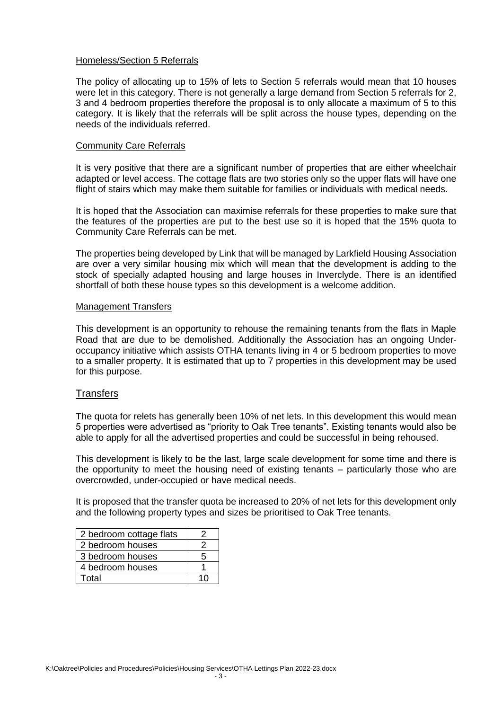#### Homeless/Section 5 Referrals

The policy of allocating up to 15% of lets to Section 5 referrals would mean that 10 houses were let in this category. There is not generally a large demand from Section 5 referrals for 2. 3 and 4 bedroom properties therefore the proposal is to only allocate a maximum of 5 to this category. It is likely that the referrals will be split across the house types, depending on the needs of the individuals referred.

#### Community Care Referrals

It is very positive that there are a significant number of properties that are either wheelchair adapted or level access. The cottage flats are two stories only so the upper flats will have one flight of stairs which may make them suitable for families or individuals with medical needs.

It is hoped that the Association can maximise referrals for these properties to make sure that the features of the properties are put to the best use so it is hoped that the 15% quota to Community Care Referrals can be met.

The properties being developed by Link that will be managed by Larkfield Housing Association are over a very similar housing mix which will mean that the development is adding to the stock of specially adapted housing and large houses in Inverclyde. There is an identified shortfall of both these house types so this development is a welcome addition.

#### Management Transfers

This development is an opportunity to rehouse the remaining tenants from the flats in Maple Road that are due to be demolished. Additionally the Association has an ongoing Underoccupancy initiative which assists OTHA tenants living in 4 or 5 bedroom properties to move to a smaller property. It is estimated that up to 7 properties in this development may be used for this purpose.

#### **Transfers**

The quota for relets has generally been 10% of net lets. In this development this would mean 5 properties were advertised as "priority to Oak Tree tenants". Existing tenants would also be able to apply for all the advertised properties and could be successful in being rehoused.

This development is likely to be the last, large scale development for some time and there is the opportunity to meet the housing need of existing tenants – particularly those who are overcrowded, under-occupied or have medical needs.

It is proposed that the transfer quota be increased to 20% of net lets for this development only and the following property types and sizes be prioritised to Oak Tree tenants.

| 2 bedroom cottage flats |    |
|-------------------------|----|
| 2 bedroom houses        |    |
| 3 bedroom houses        | 5  |
| 4 bedroom houses        |    |
| Total                   | 10 |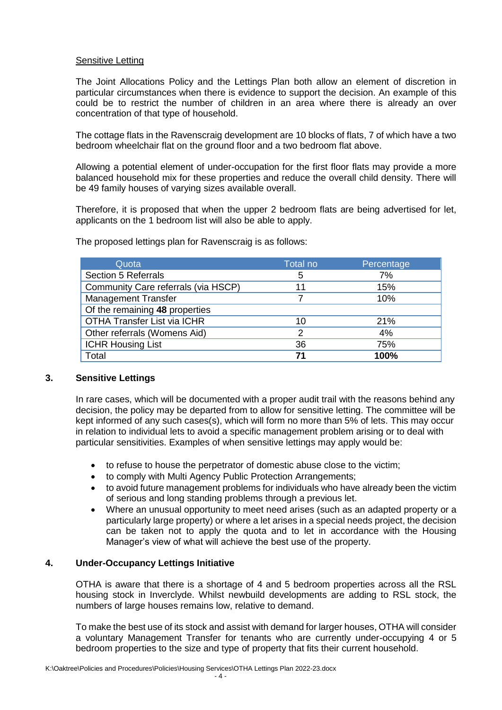### Sensitive Letting

The Joint Allocations Policy and the Lettings Plan both allow an element of discretion in particular circumstances when there is evidence to support the decision. An example of this could be to restrict the number of children in an area where there is already an over concentration of that type of household.

The cottage flats in the Ravenscraig development are 10 blocks of flats, 7 of which have a two bedroom wheelchair flat on the ground floor and a two bedroom flat above.

Allowing a potential element of under-occupation for the first floor flats may provide a more balanced household mix for these properties and reduce the overall child density. There will be 49 family houses of varying sizes available overall.

Therefore, it is proposed that when the upper 2 bedroom flats are being advertised for let, applicants on the 1 bedroom list will also be able to apply.

| Quota                               | Total no | Percentage |
|-------------------------------------|----------|------------|
| <b>Section 5 Referrals</b>          | 5        | 7%         |
| Community Care referrals (via HSCP) | 11       | 15%        |
| <b>Management Transfer</b>          |          | 10%        |
| Of the remaining 48 properties      |          |            |
| <b>OTHA Transfer List via ICHR</b>  | 10       | 21%        |
| Other referrals (Womens Aid)        | 2        | 4%         |
| <b>ICHR Housing List</b>            | 36       | 75%        |
| Total                               | 71       | 100%       |

The proposed lettings plan for Ravenscraig is as follows:

# **3. Sensitive Lettings**

In rare cases, which will be documented with a proper audit trail with the reasons behind any decision, the policy may be departed from to allow for sensitive letting. The committee will be kept informed of any such cases(s), which will form no more than 5% of lets. This may occur in relation to individual lets to avoid a specific management problem arising or to deal with particular sensitivities. Examples of when sensitive lettings may apply would be:

- to refuse to house the perpetrator of domestic abuse close to the victim;
- to comply with Multi Agency Public Protection Arrangements;
- to avoid future management problems for individuals who have already been the victim of serious and long standing problems through a previous let.
- Where an unusual opportunity to meet need arises (such as an adapted property or a particularly large property) or where a let arises in a special needs project, the decision can be taken not to apply the quota and to let in accordance with the Housing Manager's view of what will achieve the best use of the property.

# **4. Under-Occupancy Lettings Initiative**

OTHA is aware that there is a shortage of 4 and 5 bedroom properties across all the RSL housing stock in Inverclyde. Whilst newbuild developments are adding to RSL stock, the numbers of large houses remains low, relative to demand.

To make the best use of its stock and assist with demand for larger houses, OTHA will consider a voluntary Management Transfer for tenants who are currently under-occupying 4 or 5 bedroom properties to the size and type of property that fits their current household.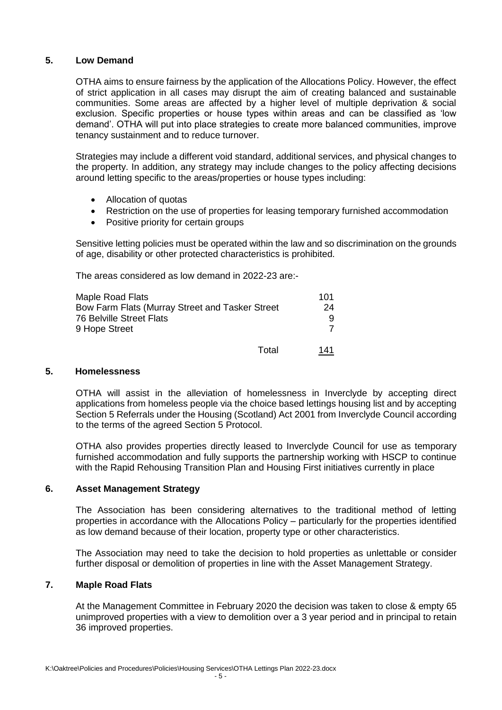# **5. Low Demand**

OTHA aims to ensure fairness by the application of the Allocations Policy. However, the effect of strict application in all cases may disrupt the aim of creating balanced and sustainable communities. Some areas are affected by a higher level of multiple deprivation & social exclusion. Specific properties or house types within areas and can be classified as 'low demand'. OTHA will put into place strategies to create more balanced communities, improve tenancy sustainment and to reduce turnover.

Strategies may include a different void standard, additional services, and physical changes to the property. In addition, any strategy may include changes to the policy affecting decisions around letting specific to the areas/properties or house types including:

- Allocation of quotas
- Restriction on the use of properties for leasing temporary furnished accommodation
- Positive priority for certain groups

Sensitive letting policies must be operated within the law and so discrimination on the grounds of age, disability or other protected characteristics is prohibited.

The areas considered as low demand in 2022-23 are:-

| Maple Road Flats                                |       | 101 |
|-------------------------------------------------|-------|-----|
| Bow Farm Flats (Murray Street and Tasker Street |       | 24  |
| <b>76 Belville Street Flats</b>                 |       |     |
| 9 Hope Street                                   |       |     |
|                                                 | Total | 141 |

#### **5. Homelessness**

OTHA will assist in the alleviation of homelessness in Inverclyde by accepting direct applications from homeless people via the choice based lettings housing list and by accepting Section 5 Referrals under the Housing (Scotland) Act 2001 from Inverclyde Council according to the terms of the agreed Section 5 Protocol.

OTHA also provides properties directly leased to Inverclyde Council for use as temporary furnished accommodation and fully supports the partnership working with HSCP to continue with the Rapid Rehousing Transition Plan and Housing First initiatives currently in place

#### **6. Asset Management Strategy**

The Association has been considering alternatives to the traditional method of letting properties in accordance with the Allocations Policy – particularly for the properties identified as low demand because of their location, property type or other characteristics.

The Association may need to take the decision to hold properties as unlettable or consider further disposal or demolition of properties in line with the Asset Management Strategy.

# **7. Maple Road Flats**

At the Management Committee in February 2020 the decision was taken to close & empty 65 unimproved properties with a view to demolition over a 3 year period and in principal to retain 36 improved properties.